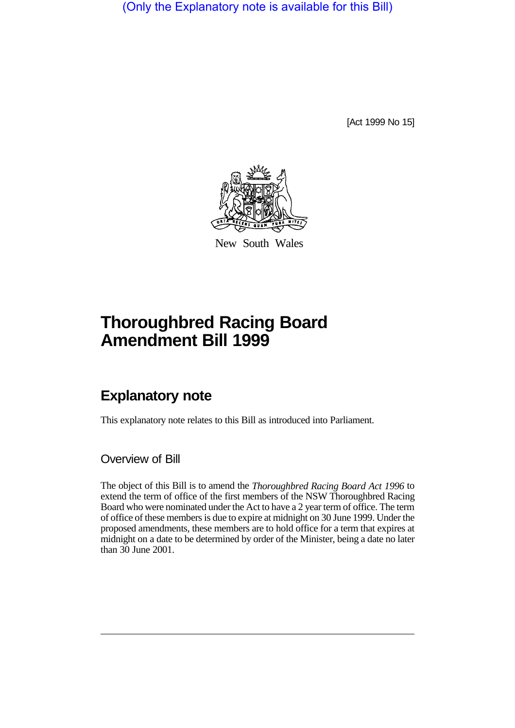(Only the Explanatory note is available for this Bill)

[Act 1999 No 15]



New South Wales

## **Thoroughbred Racing Board Amendment Bill 1999**

## **Explanatory note**

This explanatory note relates to this Bill as introduced into Parliament.

Overview of Bill

The object of this Bill is to amend the *Thoroughbred Racing Board Act 1996* to extend the term of office of the first members of the NSW Thoroughbred Racing Board who were nominated under the Act to have a 2 year term of office. The term of office of these members is due to expire at midnight on 30 June 1999. Under the proposed amendments, these members are to hold office for a term that expires at midnight on a date to be determined by order of the Minister, being a date no later than 30 June 2001.